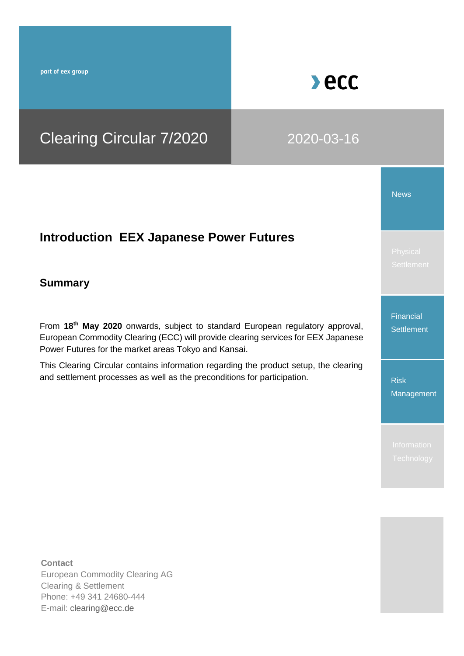part of eex group

# $\blacktriangleright$  ecc

## Clearing Circular 7/2020 2020-03-16

## **Introduction EEX Japanese Power Futures**

### **Summary**

From **18th May 2020** onwards, subject to standard European regulatory approval, European Commodity Clearing (ECC) will provide clearing services for EEX Japanese Power Futures for the market areas Tokyo and Kansai.

This Clearing Circular contains information regarding the product setup, the clearing and settlement processes as well as the preconditions for participation.

News

Financial **Settlement** 

Risk Management

**Contact** European Commodity Clearing AG Clearing & Settlement Phone: +49 341 24680-444 E-mail: [clearing@ecc.de](file:///C:/Users/soeren.tetzner/Desktop/clearing@ecc.de)

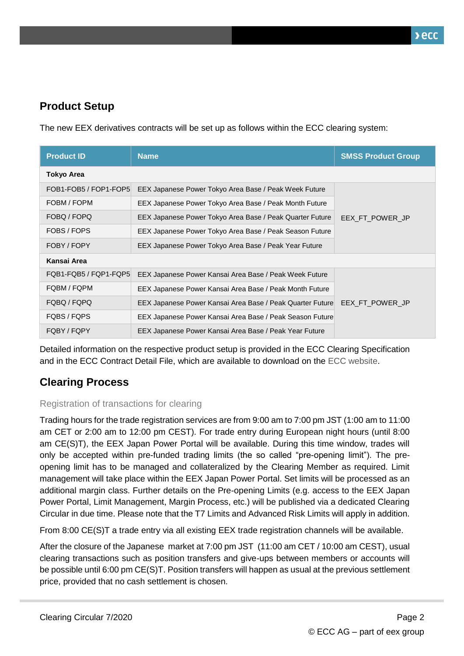## **Product Setup**

The new EEX derivatives contracts will be set up as follows within the ECC clearing system:

| <b>Product ID</b>     | <b>Name</b>                                               | <b>SMSS Product Group</b> |  |
|-----------------------|-----------------------------------------------------------|---------------------------|--|
| <b>Tokyo Area</b>     |                                                           |                           |  |
| FOB1-FOB5 / FOP1-FOP5 | EEX Japanese Power Tokyo Area Base / Peak Week Future     |                           |  |
| FOBM / FOPM           | EEX Japanese Power Tokyo Area Base / Peak Month Future    |                           |  |
| FOBQ / FOPQ           | EEX Japanese Power Tokyo Area Base / Peak Quarter Future  | EEX_FT_POWER_JP           |  |
| FOBS / FOPS           | EEX Japanese Power Tokyo Area Base / Peak Season Future   |                           |  |
| FOBY / FOPY           | EEX Japanese Power Tokyo Area Base / Peak Year Future     |                           |  |
| Kansai Area           |                                                           |                           |  |
| FQB1-FQB5 / FQP1-FQP5 | EEX Japanese Power Kansai Area Base / Peak Week Future    |                           |  |
| FQBM / FQPM           | EEX Japanese Power Kansai Area Base / Peak Month Future   |                           |  |
| FQBQ / FQPQ           | EEX Japanese Power Kansai Area Base / Peak Quarter Future | EEX FT POWER JP           |  |
| FQBS / FQPS           | EEX Japanese Power Kansai Area Base / Peak Season Future  |                           |  |
| FQBY / FQPY           | EEX Japanese Power Kansai Area Base / Peak Year Future    |                           |  |

Detailed information on the respective product setup is provided in the ECC Clearing Specification and in the ECC Contract Detail File, which are available to download on the [ECC website.](https://www.ecc.de/ecc-en/member-section/product-specification-files)

## **Clearing Process**

#### Registration of transactions for clearing

Trading hours for the trade registration services are from 9:00 am to 7:00 pm JST (1:00 am to 11:00 am CET or 2:00 am to 12:00 pm CEST). For trade entry during European night hours (until 8:00 am CE(S)T), the EEX Japan Power Portal will be available. During this time window, trades will only be accepted within pre-funded trading limits (the so called "pre-opening limit"). The preopening limit has to be managed and collateralized by the Clearing Member as required. Limit management will take place within the EEX Japan Power Portal. Set limits will be processed as an additional margin class. Further details on the Pre-opening Limits (e.g. access to the EEX Japan Power Portal, Limit Management, Margin Process, etc.) will be published via a dedicated Clearing Circular in due time. Please note that the T7 Limits and Advanced Risk Limits will apply in addition.

From 8:00 CE(S)T a trade entry via all existing EEX trade registration channels will be available.

After the closure of the Japanese market at 7:00 pm JST (11:00 am CET / 10:00 am CEST), usual clearing transactions such as position transfers and give-ups between members or accounts will be possible until 6:00 pm CE(S)T. Position transfers will happen as usual at the previous settlement price, provided that no cash settlement is chosen.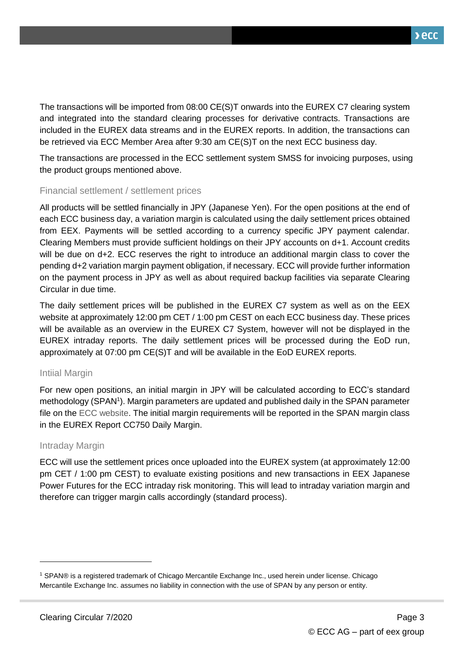The transactions will be imported from 08:00 CE(S)T onwards into the EUREX C7 clearing system and integrated into the standard clearing processes for derivative contracts. Transactions are included in the EUREX data streams and in the EUREX reports. In addition, the transactions can be retrieved via ECC Member Area after 9:30 am CE(S)T on the next ECC business day.

The transactions are processed in the ECC settlement system SMSS for invoicing purposes, using the product groups mentioned above.

#### Financial settlement / settlement prices

All products will be settled financially in JPY (Japanese Yen). For the open positions at the end of each ECC business day, a variation margin is calculated using the daily settlement prices obtained from EEX. Payments will be settled according to a currency specific JPY payment calendar. Clearing Members must provide sufficient holdings on their JPY accounts on d+1. Account credits will be due on d+2. ECC reserves the right to introduce an additional margin class to cover the pending d+2 variation margin payment obligation, if necessary. ECC will provide further information on the payment process in JPY as well as about required backup facilities via separate Clearing Circular in due time.

The daily settlement prices will be published in the EUREX C7 system as well as on the EEX website at approximately 12:00 pm CET / 1:00 pm CEST on each ECC business day. These prices will be available as an overview in the EUREX C7 System, however will not be displayed in the EUREX intraday reports. The daily settlement prices will be processed during the EoD run, approximately at 07:00 pm CE(S)T and will be available in the EoD EUREX reports.

#### Intiial Margin

For new open positions, an initial margin in JPY will be calculated according to ECC's standard methodology (SPAN<sup>1</sup>). Margin parameters are updated and published daily in the SPAN parameter file on the [ECC website.](https://www.ecc.de/ecc-en/risk-management/reports_and_files) The initial margin requirements will be reported in the SPAN margin class in the EUREX Report CC750 Daily Margin.

#### Intraday Margin

-

ECC will use the settlement prices once uploaded into the EUREX system (at approximately 12:00 pm CET / 1:00 pm CEST) to evaluate existing positions and new transactions in EEX Japanese Power Futures for the ECC intraday risk monitoring. This will lead to intraday variation margin and therefore can trigger margin calls accordingly (standard process).

<sup>1</sup> SPAN® is a registered trademark of Chicago Mercantile Exchange Inc., used herein under license. Chicago Mercantile Exchange Inc. assumes no liability in connection with the use of SPAN by any person or entity.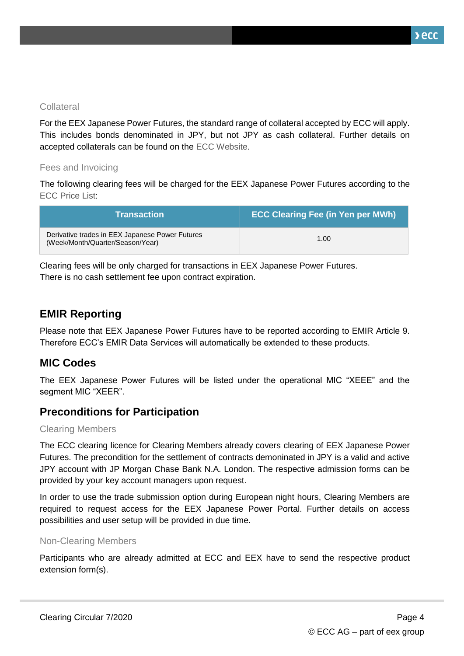$\lambda$ ecc

#### **Collateral**

For the EEX Japanese Power Futures, the standard range of collateral accepted by ECC will apply. This includes bonds denominated in JPY, but not JPY as cash collateral. Further details on accepted collaterals can be found on the [ECC Website.](https://www.ecc.de/ecc-en/risk-management/collateral-management)

#### Fees and Invoicing

The following clearing fees will be charged for the EEX Japanese Power Futures according to the [ECC Price List:](https://www.ecc.de/ecc-en/about-ecc/rules/price-list)

| <b>Transaction</b> \                                                                | <b>ECC Clearing Fee (in Yen per MWh)</b> |
|-------------------------------------------------------------------------------------|------------------------------------------|
| Derivative trades in EEX Japanese Power Futures<br>(Week/Month/Quarter/Season/Year) | 1.00                                     |

Clearing fees will be only charged for transactions in EEX Japanese Power Futures. There is no cash settlement fee upon contract expiration.

## **EMIR Reporting**

Please note that EEX Japanese Power Futures have to be reported according to EMIR Article 9. Therefore ECC's EMIR Data Services will automatically be extended to these products.

#### **MIC Codes**

The EEX Japanese Power Futures will be listed under the operational MIC "XEEE" and the segment MIC "XEER".

## **Preconditions for Participation**

#### Clearing Members

The ECC clearing licence for Clearing Members already covers clearing of EEX Japanese Power Futures. The precondition for the settlement of contracts demoninated in JPY is a valid and active JPY account with JP Morgan Chase Bank N.A. London. The respective admission forms can be provided by your key account managers upon request.

In order to use the trade submission option during European night hours, Clearing Members are required to request access for the EEX Japanese Power Portal. Further details on access possibilities and user setup will be provided in due time.

#### Non-Clearing Members

Participants who are already admitted at ECC and EEX have to send the respective product extension form(s).